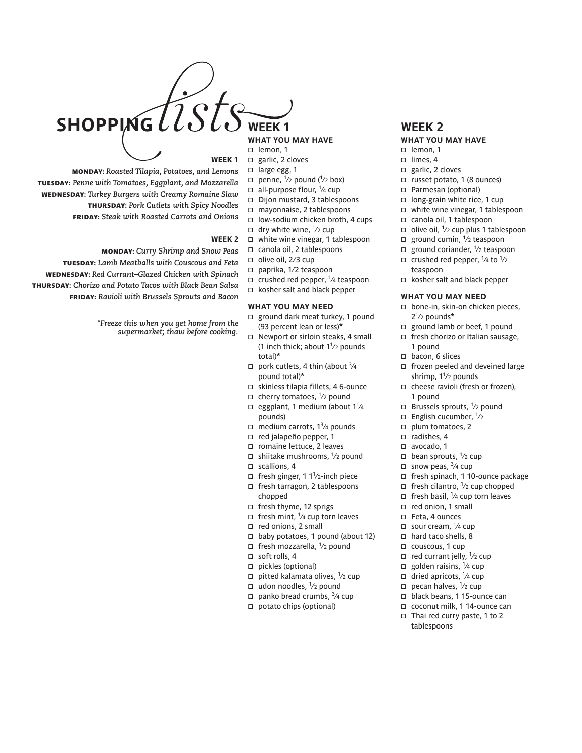

- $\Box$  garlic, 2 cloves
- $\Box$  large egg, 1
- Monday: *Roasted Tilapia, Potatoes, and Lemons* Tuesday: *Penne with Tomatoes, Eggplant, and Mozzarella* Wednesday: *Turkey Burgers with Creamy Romaine Slaw* Thursday: *Pork Cutlets with Spicy Noodles* Friday: *Steak with Roasted Carrots and Onions*

## **Week 2**

Monday: *Curry Shrimp and Snow Peas* Tuesday: *Lamb Meatballs with Couscous and Feta* Wednesday: *Red Currant–Glazed Chicken with Spinach* Thursday: *Chorizo and Potato Tacos with Black Bean Salsa* Friday: *Ravioli with Brussels Sprouts and Bacon*

> *\*Freeze this when you get home from the supermarket; thaw before cooking.*

- 
- 
- 
- $\Box$  penne,  $\frac{1}{2}$  pound ( $\frac{1}{2}$  box)  $\Box$  all-purpose flour,  $\frac{1}{4}$  cup
- □ Dijon mustard, 3 tablespoons
- mayonnaise, 2 tablespoons
- □ low-sodium chicken broth, 4 cups
- $\Box$  dry white wine,  $\frac{1}{2}$  cup
- 
- white wine vinegar, 1 tablespoon canola oil, 2 tablespoons
	-
- $\square$  olive oil, 2/3 cup
- paprika, 1⁄2 teaspoon
- $\Box$  crushed red pepper,  $\frac{1}{4}$  teaspoon
- kosher salt and black pepper

### **what you may need**

- $\Box$  ground dark meat turkey, 1 pound (93 percent lean or less)**\***
- □ Newport or sirloin steaks, 4 small (1 inch thick; about  $1\frac{1}{2}$  pounds total)**\***
- $\Box$  pork cutlets, 4 thin (about  $\frac{3}{4}$ pound total)**\***
- skinless tilapia fillets, 4 6-ounce
- $\Box$  cherry tomatoes,  $\frac{1}{2}$  pound
- $\Box$  eggplant, 1 medium (about 1<sup>1</sup>/4 pounds)
- $\Box$  medium carrots, 1<sup>3</sup>/4 pounds
- red jalapeño pepper, 1
- □ romaine lettuce, 2 leaves
- □ shiitake mushrooms,  $\frac{1}{2}$  pound
- $\square$  scallions, 4
- $\Box$  fresh ginger, 1 1<sup>1</sup>/2-inch piece
- □ fresh tarragon, 2 tablespoons
- chopped
- □ fresh thyme, 12 sprigs
- $\Box$  fresh mint,  $\frac{1}{4}$  cup torn leaves
- □ red onions, 2 small
- $\Box$  baby potatoes, 1 pound (about 12)
- $\Box$  fresh mozzarella,  $\frac{1}{2}$  pound
- $\Box$  soft rolls, 4
- $\Box$  pickles (optional)
- $\Box$  pitted kalamata olives,  $\frac{1}{2}$  cup
- □ udon noodles,  $\frac{1}{2}$  pound
- $\Box$  panko bread crumbs,  $\frac{3}{4}$  cup
- potato chips (optional)

## **what you may have**

- $\Box$  lemon, 1
- $\Box$  limes, 4
- $\Box$  garlic, 2 cloves
- $\Box$  russet potato, 1 (8 ounces)
- □ Parmesan (optional)
- □ long-grain white rice, 1 cup
- □ white wine vinegar, 1 tablespoon
- canola oil, 1 tablespoon
- $\Box$  olive oil,  $\frac{1}{2}$  cup plus 1 tablespoon
- $\Box$  ground cumin,  $\frac{1}{2}$  teaspoon
- $\Box$  ground coriander,  $\frac{1}{2}$  teaspoon
- $\Box$  crushed red pepper,  $\frac{1}{4}$  to  $\frac{1}{2}$ teaspoon
- □ kosher salt and black pepper

## **what you may need**

- □ bone-in, skin-on chicken pieces, 21⁄2 pounds**\***
- □ ground lamb or beef, 1 pound
- □ fresh chorizo or Italian sausage, 1 pound
- $\Box$  bacon, 6 slices
- $\Box$  frozen peeled and deveined large shrimp,  $1\frac{1}{2}$  pounds
- □ cheese ravioli (fresh or frozen), 1 pound
- $\Box$  Brussels sprouts,  $\frac{1}{2}$  pound
- $\Box$  English cucumber,  $\frac{1}{2}$
- $\Box$  plum tomatoes, 2
- $\Box$  radishes, 4
- □ avocado, 1
- $\Box$  bean sprouts,  $\frac{1}{2}$  cup
- $\Box$  snow peas,  $\frac{3}{4}$  cup
- □ fresh spinach, 1 10-ounce package
- $\Box$  fresh cilantro,  $\frac{1}{2}$  cup chopped
- $\Box$  fresh basil, <sup>1</sup>/4 cup torn leaves
- red onion, 1 small
- □ Feta, 4 ounces
- $\Box$  sour cream,  $\frac{1}{4}$  cup
- $\Box$  hard taco shells, 8
- □ couscous, 1 cup
- $\Box$  red currant jelly,  $\frac{1}{2}$  cup
- □ golden raisins,  $\frac{1}{4}$  cup
- $\Box$  dried apricots,  $\frac{1}{4}$  cup
- $\Box$  pecan halves,  $\frac{1}{2}$  cup
- black beans, 1 15-ounce can
- coconut milk, 1 14-ounce can
- Thai red curry paste, 1 to 2 tablespoons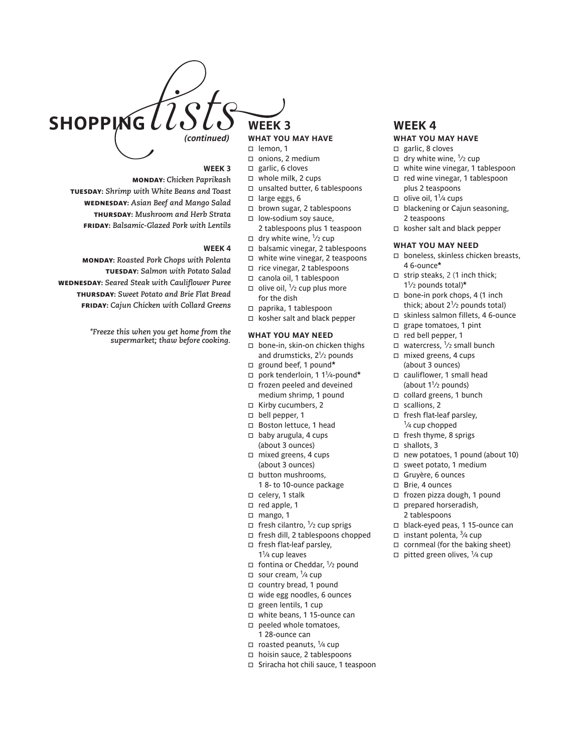

## **what you may have**

- 
- □ onions, 2 medium  $\Box$  garlic, 6 cloves
- whole milk, 2 cups
- unsalted butter, 6 tablespoons
- 
- $\Box$  large eggs, 6
- □ brown sugar, 2 tablespoons
- $\square$  low-sodium soy sauce, 2 tablespoons plus 1 teaspoon
- $\Box$  dry white wine,  $\frac{1}{2}$  cup
- balsamic vinegar, 2 tablespoons
- white wine vinegar, 2 teaspoons
- rice vinegar, 2 tablespoons
- canola oil, 1 tablespoon
- $\Box$  olive oil,  $\frac{1}{2}$  cup plus more for the dish
- paprika, 1 tablespoon
- □ kosher salt and black pepper

## **what you may need**

- □ bone-in, skin-on chicken thighs and drumsticks, 21 ⁄2 pounds
- ground beef, 1 pound**\***
- pork tenderloin, 1 11⁄4-pound**\***
- □ frozen peeled and deveined medium shrimp, 1 pound Kirby cucumbers, 2
- 
- $\neg$  bell pepper, 1
- □ Boston lettuce, 1 head
- $\Box$  baby arugula, 4 cups (about 3 ounces)
- $\Box$  mixed greens, 4 cups (about 3 ounces)
- □ button mushrooms, 1 8- to 10-ounce package
- $\Box$  celery, 1 stalk
- $\Box$  red apple, 1
- mango, 1
- $\Box$  fresh cilantro,  $\frac{1}{2}$  cup sprigs
- fresh dill, 2 tablespoons chopped
- fresh flat-leaf parsley,  $1<sup>1</sup>/4$  cup leaves
- $\Box$  fontina or Cheddar,  $\frac{1}{2}$  pound
- $\Box$  sour cream,  $\frac{1}{4}$  cup
- $\Box$  country bread, 1 pound
- wide egg noodles, 6 ounces
- green lentils, 1 cup
- white beans, 1 15-ounce can
- $\Box$  peeled whole tomatoes, 1 28-ounce can
- $\Box$  roasted peanuts,  $\frac{1}{4}$  cup
- □ hoisin sauce, 2 tablespoons
- □ Sriracha hot chili sauce, 1 teaspoon

## **what you may have**

- $\Box$  garlic, 8 cloves
- $\Box$  dry white wine,  $\frac{1}{2}$  cup white wine vinegar, 1 tablespoon
- red wine vinegar, 1 tablespoon
- plus 2 teaspoons  $\Box$  olive oil, 1<sup>1</sup>/4 cups
- 
- $\Box$  blackening or Cajun seasoning, 2 teaspoons
- □ kosher salt and black pepper

## **what you may need**

- □ boneless, skinless chicken breasts, 4 6-ounce**\***
- $\Box$  strip steaks, 2 (1 inch thick; 11⁄2 pounds total)**\***
- $\Box$  bone-in pork chops, 4 (1 inch thick; about  $2^{1/2}$  pounds total)
- skinless salmon fillets, 4 6-ounce
- □ grape tomatoes, 1 pint
- □ red bell pepper, 1
- $\Box$  watercress,  $\frac{1}{2}$  small bunch
- mixed greens, 4 cups (about 3 ounces)
- □ cauliflower, 1 small head (about  $1\frac{1}{2}$  pounds)
- $\Box$  collard greens, 1 bunch
- $\square$  scallions, 2
- fresh flat-leaf parsley, <sup>1</sup>/<sub>4</sub> cup chopped
- fresh thyme, 8 sprigs
- $\Box$  shallots, 3
- new potatoes, 1 pound (about 10)
- $\square$  sweet potato, 1 medium
- Gruyère, 6 ounces
- □ Brie, 4 ounces
- frozen pizza dough, 1 pound
- $\Box$  prepared horseradish, 2 tablespoons
- black-eyed peas, 1 15-ounce can
- □ instant polenta,  $\frac{3}{4}$  cup
- $\Box$  cornmeal (for the baking sheet)
- $\Box$  pitted green olives,  $\frac{1}{4}$  cup

## **Week 3**

Monday: *Chicken Paprikash* Tuesday: *Shrimp with White Beans and Toast*  Wednesday: *Asian Beef and Mango Salad* Thursday: *Mushroom and Herb Strata* Friday: *Balsamic-Glazed Pork with Lentils*

## **Week 4**

Monday: *Roasted Pork Chops with Polenta* Tuesday: *Salmon with Potato Salad* Wednesday: *Seared Steak with Cauliflower Puree* Thursday: *Sweet Potato and Brie Flat Bread* Friday: *Cajun Chicken with Collard Greens*

> *\*Freeze this when you get home from the supermarket; thaw before cooking.*